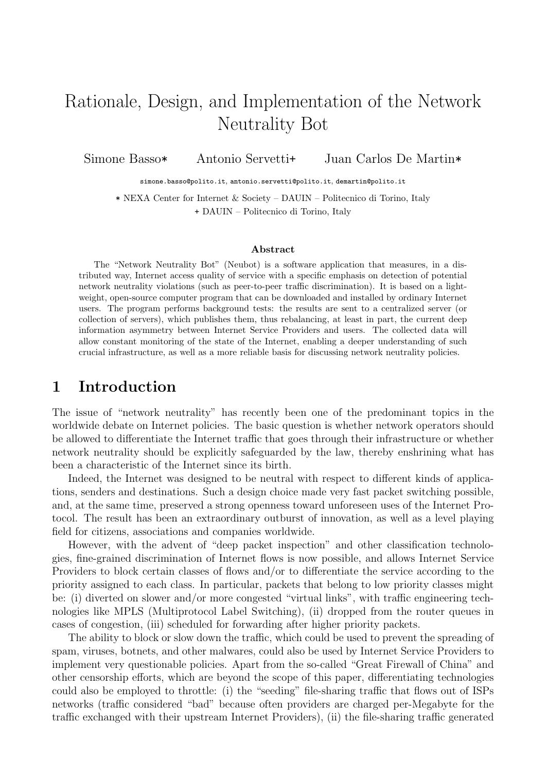# Rationale, Design, and Implementation of the Network Neutrality Bot

Simone Basso\* Antonio Servetti+ Juan Carlos De Martin\*

simone.basso@polito.it, antonio.servetti@polito.it, demartin@polito.it

\* NEXA Center for Internet & Society – DAUIN – Politecnico di Torino, Italy + DAUIN – Politecnico di Torino, Italy

#### Abstract

The "Network Neutrality Bot" (Neubot) is a software application that measures, in a distributed way, Internet access quality of service with a specific emphasis on detection of potential network neutrality violations (such as peer-to-peer traffic discrimination). It is based on a lightweight, open-source computer program that can be downloaded and installed by ordinary Internet users. The program performs background tests: the results are sent to a centralized server (or collection of servers), which publishes them, thus rebalancing, at least in part, the current deep information asymmetry between Internet Service Providers and users. The collected data will allow constant monitoring of the state of the Internet, enabling a deeper understanding of such crucial infrastructure, as well as a more reliable basis for discussing network neutrality policies.

### 1 Introduction

The issue of "network neutrality" has recently been one of the predominant topics in the worldwide debate on Internet policies. The basic question is whether network operators should be allowed to differentiate the Internet traffic that goes through their infrastructure or whether network neutrality should be explicitly safeguarded by the law, thereby enshrining what has been a characteristic of the Internet since its birth.

Indeed, the Internet was designed to be neutral with respect to different kinds of applications, senders and destinations. Such a design choice made very fast packet switching possible, and, at the same time, preserved a strong openness toward unforeseen uses of the Internet Protocol. The result has been an extraordinary outburst of innovation, as well as a level playing field for citizens, associations and companies worldwide.

However, with the advent of "deep packet inspection" and other classification technologies, fine-grained discrimination of Internet flows is now possible, and allows Internet Service Providers to block certain classes of flows and/or to differentiate the service according to the priority assigned to each class. In particular, packets that belong to low priority classes might be: (i) diverted on slower and/or more congested "virtual links", with traffic engineering technologies like MPLS (Multiprotocol Label Switching), (ii) dropped from the router queues in cases of congestion, (iii) scheduled for forwarding after higher priority packets.

The ability to block or slow down the traffic, which could be used to prevent the spreading of spam, viruses, botnets, and other malwares, could also be used by Internet Service Providers to implement very questionable policies. Apart from the so-called "Great Firewall of China" and other censorship efforts, which are beyond the scope of this paper, differentiating technologies could also be employed to throttle: (i) the "seeding" file-sharing traffic that flows out of ISPs networks (traffic considered "bad" because often providers are charged per-Megabyte for the traffic exchanged with their upstream Internet Providers), (ii) the file-sharing traffic generated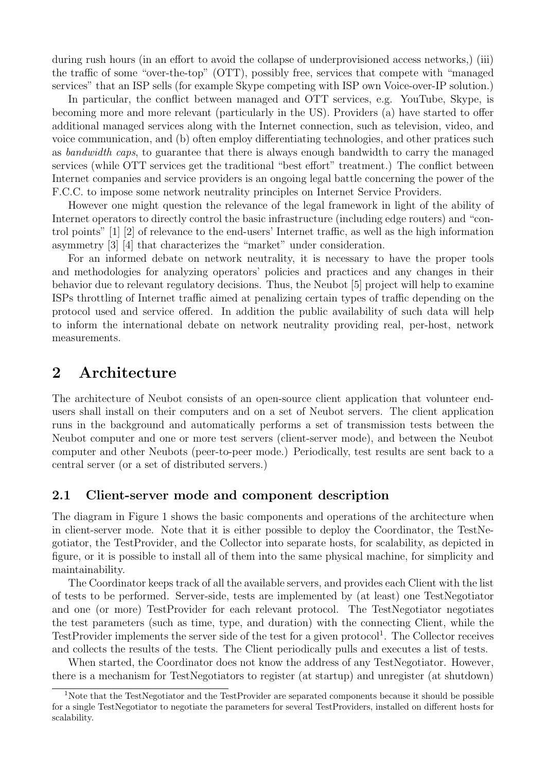during rush hours (in an effort to avoid the collapse of underprovisioned access networks,) (iii) the traffic of some "over-the-top" (OTT), possibly free, services that compete with "managed services" that an ISP sells (for example Skype competing with ISP own Voice-over-IP solution.)

In particular, the conflict between managed and OTT services, e.g. YouTube, Skype, is becoming more and more relevant (particularly in the US). Providers (a) have started to offer additional managed services along with the Internet connection, such as television, video, and voice communication, and (b) often employ differentiating technologies, and other pratices such as bandwidth caps, to guarantee that there is always enough bandwidth to carry the managed services (while OTT services get the traditional "best effort" treatment.) The conflict between Internet companies and service providers is an ongoing legal battle concerning the power of the F.C.C. to impose some network neutrality principles on Internet Service Providers.

However one might question the relevance of the legal framework in light of the ability of Internet operators to directly control the basic infrastructure (including edge routers) and "control points" [1] [2] of relevance to the end-users' Internet traffic, as well as the high information asymmetry [3] [4] that characterizes the "market" under consideration.

For an informed debate on network neutrality, it is necessary to have the proper tools and methodologies for analyzing operators' policies and practices and any changes in their behavior due to relevant regulatory decisions. Thus, the Neubot [5] project will help to examine ISPs throttling of Internet traffic aimed at penalizing certain types of traffic depending on the protocol used and service offered. In addition the public availability of such data will help to inform the international debate on network neutrality providing real, per-host, network measurements.

### 2 Architecture

The architecture of Neubot consists of an open-source client application that volunteer endusers shall install on their computers and on a set of Neubot servers. The client application runs in the background and automatically performs a set of transmission tests between the Neubot computer and one or more test servers (client-server mode), and between the Neubot computer and other Neubots (peer-to-peer mode.) Periodically, test results are sent back to a central server (or a set of distributed servers.)

### 2.1 Client-server mode and component description

The diagram in Figure 1 shows the basic components and operations of the architecture when in client-server mode. Note that it is either possible to deploy the Coordinator, the TestNegotiator, the TestProvider, and the Collector into separate hosts, for scalability, as depicted in figure, or it is possible to install all of them into the same physical machine, for simplicity and maintainability.

The Coordinator keeps track of all the available servers, and provides each Client with the list of tests to be performed. Server-side, tests are implemented by (at least) one TestNegotiator and one (or more) TestProvider for each relevant protocol. The TestNegotiator negotiates the test parameters (such as time, type, and duration) with the connecting Client, while the TestProvider implements the server side of the test for a given protocol<sup>1</sup>. The Collector receives and collects the results of the tests. The Client periodically pulls and executes a list of tests.

When started, the Coordinator does not know the address of any TestNegotiator. However, there is a mechanism for TestNegotiators to register (at startup) and unregister (at shutdown)

<sup>&</sup>lt;sup>1</sup>Note that the TestNegotiator and the TestProvider are separated components because it should be possible for a single TestNegotiator to negotiate the parameters for several TestProviders, installed on different hosts for scalability.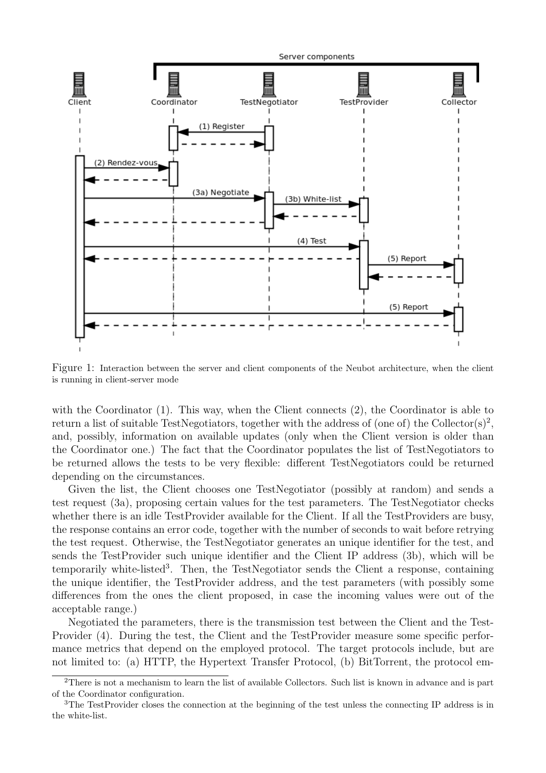

Figure 1: Interaction between the server and client components of the Neubot architecture, when the client is running in client-server mode

with the Coordinator (1). This way, when the Client connects (2), the Coordinator is able to return a list of suitable TestNegotiators, together with the address of (one of) the Collector(s)<sup>2</sup>, and, possibly, information on available updates (only when the Client version is older than the Coordinator one.) The fact that the Coordinator populates the list of TestNegotiators to be returned allows the tests to be very flexible: different TestNegotiators could be returned depending on the circumstances.

Given the list, the Client chooses one TestNegotiator (possibly at random) and sends a test request (3a), proposing certain values for the test parameters. The TestNegotiator checks whether there is an idle TestProvider available for the Client. If all the TestProviders are busy, the response contains an error code, together with the number of seconds to wait before retrying the test request. Otherwise, the TestNegotiator generates an unique identifier for the test, and sends the TestProvider such unique identifier and the Client IP address (3b), which will be temporarily white-listed<sup>3</sup>. Then, the TestNegotiator sends the Client a response, containing the unique identifier, the TestProvider address, and the test parameters (with possibly some differences from the ones the client proposed, in case the incoming values were out of the acceptable range.)

Negotiated the parameters, there is the transmission test between the Client and the Test-Provider (4). During the test, the Client and the TestProvider measure some specific performance metrics that depend on the employed protocol. The target protocols include, but are not limited to: (a) HTTP, the Hypertext Transfer Protocol, (b) BitTorrent, the protocol em-

<sup>2</sup>There is not a mechanism to learn the list of available Collectors. Such list is known in advance and is part of the Coordinator configuration.

<sup>&</sup>lt;sup>3</sup>The TestProvider closes the connection at the beginning of the test unless the connecting IP address is in the white-list.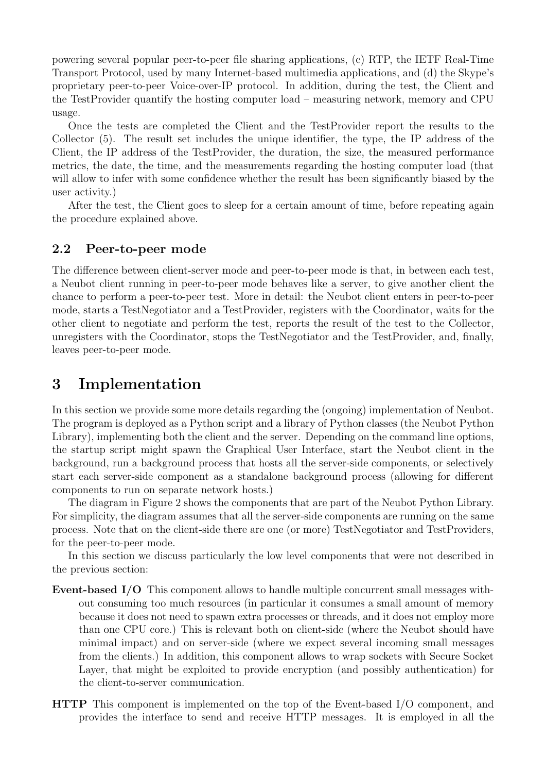powering several popular peer-to-peer file sharing applications, (c) RTP, the IETF Real-Time Transport Protocol, used by many Internet-based multimedia applications, and (d) the Skype's proprietary peer-to-peer Voice-over-IP protocol. In addition, during the test, the Client and the TestProvider quantify the hosting computer load – measuring network, memory and CPU usage.

Once the tests are completed the Client and the TestProvider report the results to the Collector (5). The result set includes the unique identifier, the type, the IP address of the Client, the IP address of the TestProvider, the duration, the size, the measured performance metrics, the date, the time, and the measurements regarding the hosting computer load (that will allow to infer with some confidence whether the result has been significantly biased by the user activity.)

After the test, the Client goes to sleep for a certain amount of time, before repeating again the procedure explained above.

#### 2.2 Peer-to-peer mode

The difference between client-server mode and peer-to-peer mode is that, in between each test, a Neubot client running in peer-to-peer mode behaves like a server, to give another client the chance to perform a peer-to-peer test. More in detail: the Neubot client enters in peer-to-peer mode, starts a TestNegotiator and a TestProvider, registers with the Coordinator, waits for the other client to negotiate and perform the test, reports the result of the test to the Collector, unregisters with the Coordinator, stops the TestNegotiator and the TestProvider, and, finally, leaves peer-to-peer mode.

### 3 Implementation

In this section we provide some more details regarding the (ongoing) implementation of Neubot. The program is deployed as a Python script and a library of Python classes (the Neubot Python Library), implementing both the client and the server. Depending on the command line options, the startup script might spawn the Graphical User Interface, start the Neubot client in the background, run a background process that hosts all the server-side components, or selectively start each server-side component as a standalone background process (allowing for different components to run on separate network hosts.)

The diagram in Figure 2 shows the components that are part of the Neubot Python Library. For simplicity, the diagram assumes that all the server-side components are running on the same process. Note that on the client-side there are one (or more) TestNegotiator and TestProviders, for the peer-to-peer mode.

In this section we discuss particularly the low level components that were not described in the previous section:

- Event-based I/O This component allows to handle multiple concurrent small messages without consuming too much resources (in particular it consumes a small amount of memory because it does not need to spawn extra processes or threads, and it does not employ more than one CPU core.) This is relevant both on client-side (where the Neubot should have minimal impact) and on server-side (where we expect several incoming small messages from the clients.) In addition, this component allows to wrap sockets with Secure Socket Layer, that might be exploited to provide encryption (and possibly authentication) for the client-to-server communication.
- HTTP This component is implemented on the top of the Event-based I/O component, and provides the interface to send and receive HTTP messages. It is employed in all the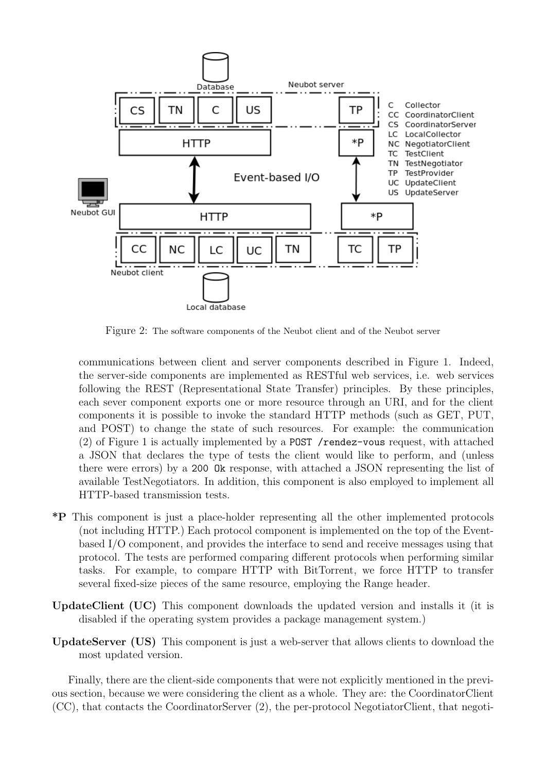

Figure 2: The software components of the Neubot client and of the Neubot server

communications between client and server components described in Figure 1. Indeed, the server-side components are implemented as RESTful web services, i.e. web services following the REST (Representational State Transfer) principles. By these principles, each sever component exports one or more resource through an URI, and for the client components it is possible to invoke the standard HTTP methods (such as GET, PUT, and POST) to change the state of such resources. For example: the communication (2) of Figure 1 is actually implemented by a POST /rendez-vous request, with attached a JSON that declares the type of tests the client would like to perform, and (unless there were errors) by a 200 Ok response, with attached a JSON representing the list of available TestNegotiators. In addition, this component is also employed to implement all HTTP-based transmission tests.

- \*P This component is just a place-holder representing all the other implemented protocols (not including HTTP.) Each protocol component is implemented on the top of the Eventbased I/O component, and provides the interface to send and receive messages using that protocol. The tests are performed comparing different protocols when performing similar tasks. For example, to compare HTTP with BitTorrent, we force HTTP to transfer several fixed-size pieces of the same resource, employing the Range header.
- UpdateClient (UC) This component downloads the updated version and installs it (it is disabled if the operating system provides a package management system.)
- UpdateServer (US) This component is just a web-server that allows clients to download the most updated version.

Finally, there are the client-side components that were not explicitly mentioned in the previous section, because we were considering the client as a whole. They are: the CoordinatorClient (CC), that contacts the CoordinatorServer (2), the per-protocol NegotiatorClient, that negoti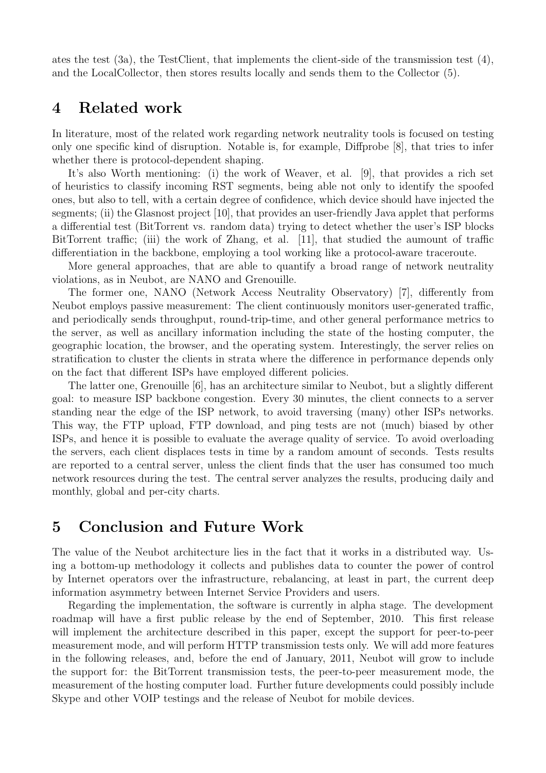ates the test  $(3a)$ , the TestClient, that implements the client-side of the transmission test  $(4)$ , and the LocalCollector, then stores results locally and sends them to the Collector (5).

### 4 Related work

In literature, most of the related work regarding network neutrality tools is focused on testing only one specific kind of disruption. Notable is, for example, Diffprobe [8], that tries to infer whether there is protocol-dependent shaping.

It's also Worth mentioning: (i) the work of Weaver, et al. [9], that provides a rich set of heuristics to classify incoming RST segments, being able not only to identify the spoofed ones, but also to tell, with a certain degree of confidence, which device should have injected the segments; (ii) the Glasnost project [10], that provides an user-friendly Java applet that performs a differential test (BitTorrent vs. random data) trying to detect whether the user's ISP blocks BitTorrent traffic; (iii) the work of Zhang, et al. [11], that studied the aumount of traffic differentiation in the backbone, employing a tool working like a protocol-aware traceroute.

More general approaches, that are able to quantify a broad range of network neutrality violations, as in Neubot, are NANO and Grenouille.

The former one, NANO (Network Access Neutrality Observatory) [7], differently from Neubot employs passive measurement: The client continuously monitors user-generated traffic, and periodically sends throughput, round-trip-time, and other general performance metrics to the server, as well as ancillary information including the state of the hosting computer, the geographic location, the browser, and the operating system. Interestingly, the server relies on stratification to cluster the clients in strata where the difference in performance depends only on the fact that different ISPs have employed different policies.

The latter one, Grenouille [6], has an architecture similar to Neubot, but a slightly different goal: to measure ISP backbone congestion. Every 30 minutes, the client connects to a server standing near the edge of the ISP network, to avoid traversing (many) other ISPs networks. This way, the FTP upload, FTP download, and ping tests are not (much) biased by other ISPs, and hence it is possible to evaluate the average quality of service. To avoid overloading the servers, each client displaces tests in time by a random amount of seconds. Tests results are reported to a central server, unless the client finds that the user has consumed too much network resources during the test. The central server analyzes the results, producing daily and monthly, global and per-city charts.

### 5 Conclusion and Future Work

The value of the Neubot architecture lies in the fact that it works in a distributed way. Using a bottom-up methodology it collects and publishes data to counter the power of control by Internet operators over the infrastructure, rebalancing, at least in part, the current deep information asymmetry between Internet Service Providers and users.

Regarding the implementation, the software is currently in alpha stage. The development roadmap will have a first public release by the end of September, 2010. This first release will implement the architecture described in this paper, except the support for peer-to-peer measurement mode, and will perform HTTP transmission tests only. We will add more features in the following releases, and, before the end of January, 2011, Neubot will grow to include the support for: the BitTorrent transmission tests, the peer-to-peer measurement mode, the measurement of the hosting computer load. Further future developments could possibly include Skype and other VOIP testings and the release of Neubot for mobile devices.